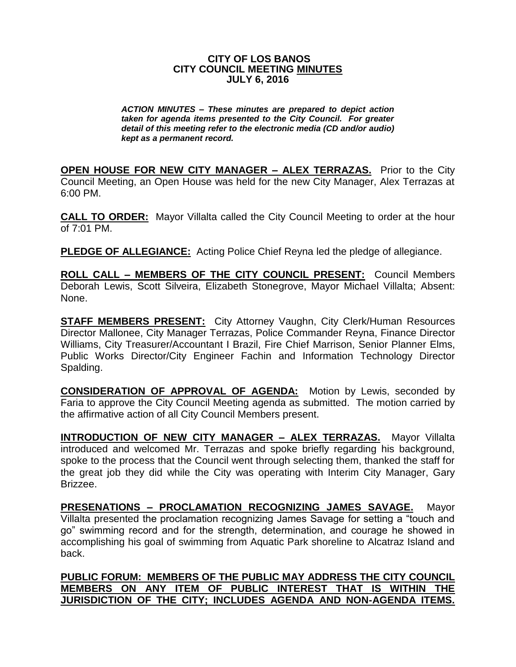## **CITY OF LOS BANOS CITY COUNCIL MEETING MINUTES JULY 6, 2016**

*ACTION MINUTES – These minutes are prepared to depict action taken for agenda items presented to the City Council. For greater detail of this meeting refer to the electronic media (CD and/or audio) kept as a permanent record.*

**OPEN HOUSE FOR NEW CITY MANAGER – ALEX TERRAZAS.** Prior to the City Council Meeting, an Open House was held for the new City Manager, Alex Terrazas at 6:00 PM.

**CALL TO ORDER:** Mayor Villalta called the City Council Meeting to order at the hour of 7:01 PM.

**PLEDGE OF ALLEGIANCE:** Acting Police Chief Reyna led the pledge of allegiance.

**ROLL CALL – MEMBERS OF THE CITY COUNCIL PRESENT:** Council Members Deborah Lewis, Scott Silveira, Elizabeth Stonegrove, Mayor Michael Villalta; Absent: None.

**STAFF MEMBERS PRESENT:** City Attorney Vaughn, City Clerk/Human Resources Director Mallonee, City Manager Terrazas, Police Commander Reyna, Finance Director Williams, City Treasurer/Accountant I Brazil, Fire Chief Marrison, Senior Planner Elms, Public Works Director/City Engineer Fachin and Information Technology Director Spalding.

**CONSIDERATION OF APPROVAL OF AGENDA:** Motion by Lewis, seconded by Faria to approve the City Council Meeting agenda as submitted. The motion carried by the affirmative action of all City Council Members present.

**INTRODUCTION OF NEW CITY MANAGER – ALEX TERRAZAS.** Mayor Villalta introduced and welcomed Mr. Terrazas and spoke briefly regarding his background, spoke to the process that the Council went through selecting them, thanked the staff for the great job they did while the City was operating with Interim City Manager, Gary Brizzee.

**PRESENATIONS – PROCLAMATION RECOGNIZING JAMES SAVAGE.** Mayor Villalta presented the proclamation recognizing James Savage for setting a "touch and go" swimming record and for the strength, determination, and courage he showed in accomplishing his goal of swimming from Aquatic Park shoreline to Alcatraz Island and back.

**PUBLIC FORUM: MEMBERS OF THE PUBLIC MAY ADDRESS THE CITY COUNCIL MEMBERS ON ANY ITEM OF PUBLIC INTEREST THAT IS WITHIN THE JURISDICTION OF THE CITY; INCLUDES AGENDA AND NON-AGENDA ITEMS.**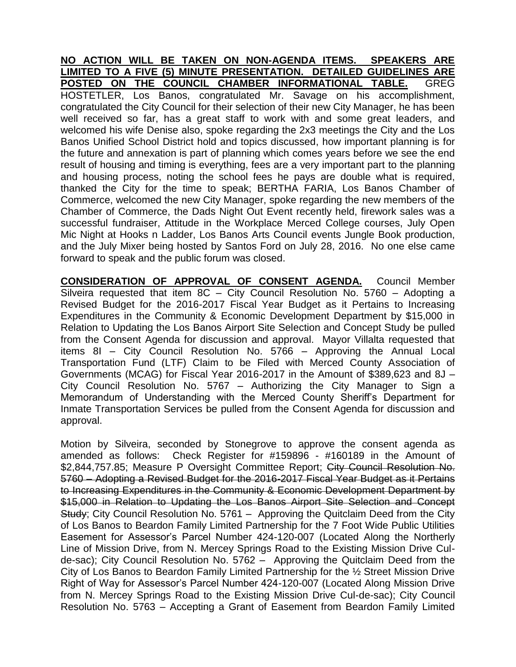**NO ACTION WILL BE TAKEN ON NON-AGENDA ITEMS. SPEAKERS ARE LIMITED TO A FIVE (5) MINUTE PRESENTATION. DETAILED GUIDELINES ARE POSTED ON THE COUNCIL CHAMBER INFORMATIONAL TABLE.** GREG HOSTETLER, Los Banos, congratulated Mr. Savage on his accomplishment, congratulated the City Council for their selection of their new City Manager, he has been well received so far, has a great staff to work with and some great leaders, and welcomed his wife Denise also, spoke regarding the 2x3 meetings the City and the Los Banos Unified School District hold and topics discussed, how important planning is for the future and annexation is part of planning which comes years before we see the end result of housing and timing is everything, fees are a very important part to the planning and housing process, noting the school fees he pays are double what is required, thanked the City for the time to speak; BERTHA FARIA, Los Banos Chamber of Commerce, welcomed the new City Manager, spoke regarding the new members of the Chamber of Commerce, the Dads Night Out Event recently held, firework sales was a successful fundraiser, Attitude in the Workplace Merced College courses, July Open Mic Night at Hooks n Ladder, Los Banos Arts Council events Jungle Book production, and the July Mixer being hosted by Santos Ford on July 28, 2016. No one else came forward to speak and the public forum was closed.

**CONSIDERATION OF APPROVAL OF CONSENT AGENDA.** Council Member Silveira requested that item 8C – City Council Resolution No. 5760 – Adopting a Revised Budget for the 2016-2017 Fiscal Year Budget as it Pertains to Increasing Expenditures in the Community & Economic Development Department by \$15,000 in Relation to Updating the Los Banos Airport Site Selection and Concept Study be pulled from the Consent Agenda for discussion and approval. Mayor Villalta requested that items 8I – City Council Resolution No. 5766 – Approving the Annual Local Transportation Fund (LTF) Claim to be Filed with Merced County Association of Governments (MCAG) for Fiscal Year 2016-2017 in the Amount of \$389,623 and 8J – City Council Resolution No. 5767 – Authorizing the City Manager to Sign a Memorandum of Understanding with the Merced County Sheriff's Department for Inmate Transportation Services be pulled from the Consent Agenda for discussion and approval.

Motion by Silveira, seconded by Stonegrove to approve the consent agenda as amended as follows: Check Register for #159896 - #160189 in the Amount of \$2,844,757.85; Measure P Oversight Committee Report; City Council Resolution No. 5760 – Adopting a Revised Budget for the 2016-2017 Fiscal Year Budget as it Pertains to Increasing Expenditures in the Community & Economic Development Department by \$15,000 in Relation to Updating the Los Banos Airport Site Selection and Concept Study; City Council Resolution No. 5761 – Approving the Quitclaim Deed from the City of Los Banos to Beardon Family Limited Partnership for the 7 Foot Wide Public Utilities Easement for Assessor's Parcel Number 424-120-007 (Located Along the Northerly Line of Mission Drive, from N. Mercey Springs Road to the Existing Mission Drive Culde-sac); City Council Resolution No. 5762 – Approving the Quitclaim Deed from the City of Los Banos to Beardon Family Limited Partnership for the ½ Street Mission Drive Right of Way for Assessor's Parcel Number 424-120-007 (Located Along Mission Drive from N. Mercey Springs Road to the Existing Mission Drive Cul-de-sac); City Council Resolution No. 5763 – Accepting a Grant of Easement from Beardon Family Limited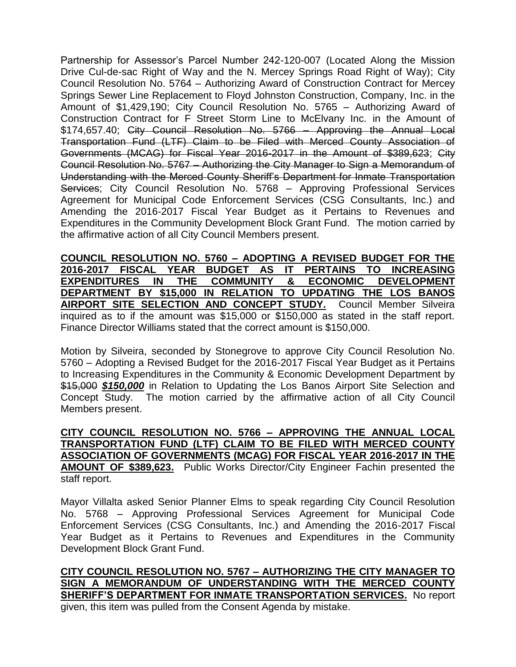Partnership for Assessor's Parcel Number 242-120-007 (Located Along the Mission Drive Cul-de-sac Right of Way and the N. Mercey Springs Road Right of Way); City Council Resolution No. 5764 – Authorizing Award of Construction Contract for Mercey Springs Sewer Line Replacement to Floyd Johnston Construction, Company, Inc. in the Amount of \$1,429,190; City Council Resolution No. 5765 – Authorizing Award of Construction Contract for F Street Storm Line to McElvany Inc. in the Amount of \$174,657.40; City Council Resolution No. 5766 - Approving the Annual Local Transportation Fund (LTF) Claim to be Filed with Merced County Association of Governments (MCAG) for Fiscal Year 2016-2017 in the Amount of \$389,623; City Council Resolution No. 5767 – Authorizing the City Manager to Sign a Memorandum of Understanding with the Merced County Sheriff's Department for Inmate Transportation Services; City Council Resolution No. 5768 - Approving Professional Services Agreement for Municipal Code Enforcement Services (CSG Consultants, Inc.) and Amending the 2016-2017 Fiscal Year Budget as it Pertains to Revenues and Expenditures in the Community Development Block Grant Fund. The motion carried by the affirmative action of all City Council Members present.

**COUNCIL RESOLUTION NO. 5760 – ADOPTING A REVISED BUDGET FOR THE 2016-2017 FISCAL YEAR BUDGET AS IT PERTAINS TO INCREASING EXPENDITURES IN THE COMMUNITY & ECONOMIC DEVELOPMENT DEPARTMENT BY \$15,000 IN RELATION TO UPDATING THE LOS BANOS AIRPORT SITE SELECTION AND CONCEPT STUDY.** Council Member Silveira inquired as to if the amount was \$15,000 or \$150,000 as stated in the staff report. Finance Director Williams stated that the correct amount is \$150,000.

Motion by Silveira, seconded by Stonegrove to approve City Council Resolution No. 5760 – Adopting a Revised Budget for the 2016-2017 Fiscal Year Budget as it Pertains to Increasing Expenditures in the Community & Economic Development Department by \$15,000 *\$150,000* in Relation to Updating the Los Banos Airport Site Selection and Concept Study. The motion carried by the affirmative action of all City Council Members present.

**CITY COUNCIL RESOLUTION NO. 5766 – APPROVING THE ANNUAL LOCAL TRANSPORTATION FUND (LTF) CLAIM TO BE FILED WITH MERCED COUNTY ASSOCIATION OF GOVERNMENTS (MCAG) FOR FISCAL YEAR 2016-2017 IN THE AMOUNT OF \$389,623.** Public Works Director/City Engineer Fachin presented the staff report.

Mayor Villalta asked Senior Planner Elms to speak regarding City Council Resolution No. 5768 – Approving Professional Services Agreement for Municipal Code Enforcement Services (CSG Consultants, Inc.) and Amending the 2016-2017 Fiscal Year Budget as it Pertains to Revenues and Expenditures in the Community Development Block Grant Fund.

**CITY COUNCIL RESOLUTION NO. 5767 – AUTHORIZING THE CITY MANAGER TO SIGN A MEMORANDUM OF UNDERSTANDING WITH THE MERCED COUNTY SHERIFF'S DEPARTMENT FOR INMATE TRANSPORTATION SERVICES.** No report given, this item was pulled from the Consent Agenda by mistake.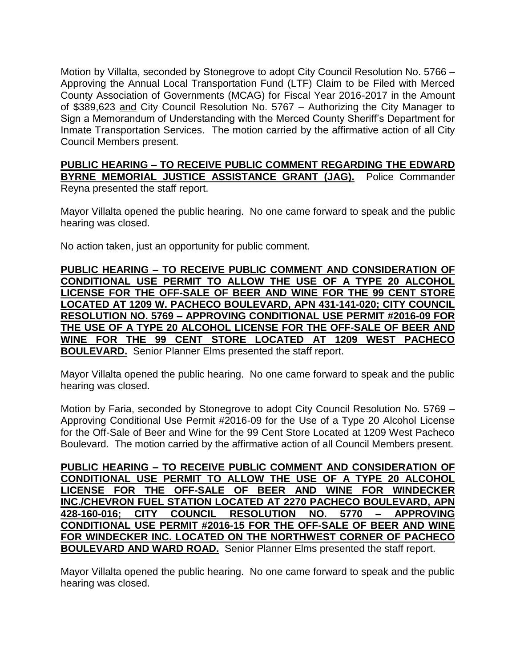Motion by Villalta, seconded by Stonegrove to adopt City Council Resolution No. 5766 – Approving the Annual Local Transportation Fund (LTF) Claim to be Filed with Merced County Association of Governments (MCAG) for Fiscal Year 2016-2017 in the Amount of \$389,623 and City Council Resolution No. 5767 – Authorizing the City Manager to Sign a Memorandum of Understanding with the Merced County Sheriff's Department for Inmate Transportation Services. The motion carried by the affirmative action of all City Council Members present.

**PUBLIC HEARING – TO RECEIVE PUBLIC COMMENT REGARDING THE EDWARD BYRNE MEMORIAL JUSTICE ASSISTANCE GRANT (JAG).** Police Commander Reyna presented the staff report.

Mayor Villalta opened the public hearing. No one came forward to speak and the public hearing was closed.

No action taken, just an opportunity for public comment.

**PUBLIC HEARING – TO RECEIVE PUBLIC COMMENT AND CONSIDERATION OF CONDITIONAL USE PERMIT TO ALLOW THE USE OF A TYPE 20 ALCOHOL LICENSE FOR THE OFF-SALE OF BEER AND WINE FOR THE 99 CENT STORE LOCATED AT 1209 W. PACHECO BOULEVARD, APN 431-141-020; CITY COUNCIL RESOLUTION NO. 5769 – APPROVING CONDITIONAL USE PERMIT #2016-09 FOR THE USE OF A TYPE 20 ALCOHOL LICENSE FOR THE OFF-SALE OF BEER AND WINE FOR THE 99 CENT STORE LOCATED AT 1209 WEST PACHECO BOULEVARD.** Senior Planner Elms presented the staff report.

Mayor Villalta opened the public hearing. No one came forward to speak and the public hearing was closed.

Motion by Faria, seconded by Stonegrove to adopt City Council Resolution No. 5769 – Approving Conditional Use Permit #2016-09 for the Use of a Type 20 Alcohol License for the Off-Sale of Beer and Wine for the 99 Cent Store Located at 1209 West Pacheco Boulevard. The motion carried by the affirmative action of all Council Members present.

**PUBLIC HEARING – TO RECEIVE PUBLIC COMMENT AND CONSIDERATION OF CONDITIONAL USE PERMIT TO ALLOW THE USE OF A TYPE 20 ALCOHOL LICENSE FOR THE OFF-SALE OF BEER AND WINE FOR WINDECKER INC./CHEVRON FUEL STATION LOCATED AT 2270 PACHECO BOULEVARD, APN 428-160-016; CITY COUNCIL RESOLUTION NO. 5770 – APPROVING CONDITIONAL USE PERMIT #2016-15 FOR THE OFF-SALE OF BEER AND WINE FOR WINDECKER INC. LOCATED ON THE NORTHWEST CORNER OF PACHECO BOULEVARD AND WARD ROAD.** Senior Planner Elms presented the staff report.

Mayor Villalta opened the public hearing. No one came forward to speak and the public hearing was closed.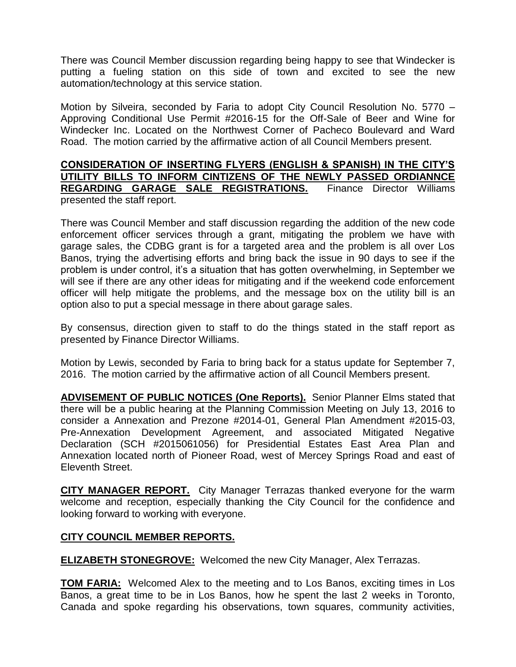There was Council Member discussion regarding being happy to see that Windecker is putting a fueling station on this side of town and excited to see the new automation/technology at this service station.

Motion by Silveira, seconded by Faria to adopt City Council Resolution No. 5770 – Approving Conditional Use Permit #2016-15 for the Off-Sale of Beer and Wine for Windecker Inc. Located on the Northwest Corner of Pacheco Boulevard and Ward Road. The motion carried by the affirmative action of all Council Members present.

## **CONSIDERATION OF INSERTING FLYERS (ENGLISH & SPANISH) IN THE CITY'S UTILITY BILLS TO INFORM CINTIZENS OF THE NEWLY PASSED ORDIANNCE REGARDING GARAGE SALE REGISTRATIONS.** Finance Director Williams presented the staff report.

There was Council Member and staff discussion regarding the addition of the new code enforcement officer services through a grant, mitigating the problem we have with garage sales, the CDBG grant is for a targeted area and the problem is all over Los Banos, trying the advertising efforts and bring back the issue in 90 days to see if the problem is under control, it's a situation that has gotten overwhelming, in September we will see if there are any other ideas for mitigating and if the weekend code enforcement officer will help mitigate the problems, and the message box on the utility bill is an option also to put a special message in there about garage sales.

By consensus, direction given to staff to do the things stated in the staff report as presented by Finance Director Williams.

Motion by Lewis, seconded by Faria to bring back for a status update for September 7, 2016. The motion carried by the affirmative action of all Council Members present.

**ADVISEMENT OF PUBLIC NOTICES (One Reports).** Senior Planner Elms stated that there will be a public hearing at the Planning Commission Meeting on July 13, 2016 to consider a Annexation and Prezone #2014-01, General Plan Amendment #2015-03, Pre-Annexation Development Agreement, and associated Mitigated Negative Declaration (SCH #2015061056) for Presidential Estates East Area Plan and Annexation located north of Pioneer Road, west of Mercey Springs Road and east of Eleventh Street.

**CITY MANAGER REPORT.** City Manager Terrazas thanked everyone for the warm welcome and reception, especially thanking the City Council for the confidence and looking forward to working with everyone.

## **CITY COUNCIL MEMBER REPORTS.**

**ELIZABETH STONEGROVE:** Welcomed the new City Manager, Alex Terrazas.

**TOM FARIA:** Welcomed Alex to the meeting and to Los Banos, exciting times in Los Banos, a great time to be in Los Banos, how he spent the last 2 weeks in Toronto, Canada and spoke regarding his observations, town squares, community activities,